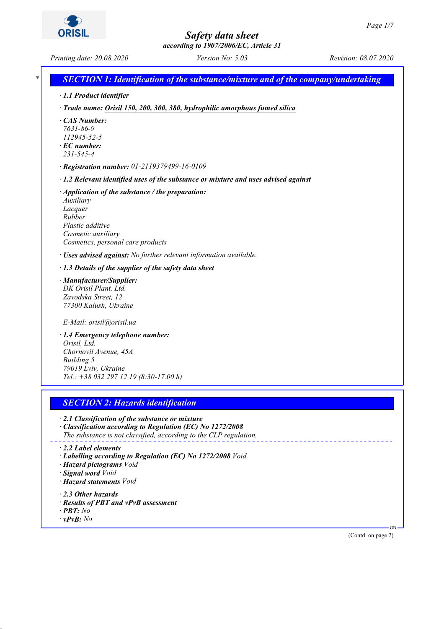*according to 1907/2006/EC, Article 31*

*Printing date: 20.08.2020 Version No: 5.03 Revision: 08.07.2020*

*\* SECTION 1: Identification of the substance/mixture and of the company/undertaking · 1.1 Product identifier · Trade name: Orisil 150, 200, 300, 380, hydrophilic amorphous fumed silica · CAS Number: 7631-86-9 112945-52-5 · EC number: 231-545-4 · Registration number: 01-2119379499-16-0109 · 1.2 Relevant identified uses of the substance or mixture and uses advised against · Application of the substance / the preparation: Auxiliary Lacquer Rubber Plastic additive Cosmetic auxiliary Cosmetics, personal care products · Uses advised against: No further relevant information available. · 1.3 Details of the supplier of the safety data sheet · Manufacturer/Supplier: DK Orisil Plant, Ltd. Zavodska Street, 12 77300 Kalush, Ukraine E-Mail: orisil@orisil.ua · 1.4 Emergency telephone number: Orisil, Ltd. Chornovil Avenue, 45A Building 5 79019 Lviv, Ukraine Tel.: +38 032 297 12 19 (8:30-17.00 h)*

## *SECTION 2: Hazards identification*

*· 2.1 Classification of the substance or mixture*

*· Classification according to Regulation (EC) No 1272/2008 The substance is not classified, according to the CLP regulation.*

- *· 2.2 Label elements*
- *· Labelling according to Regulation (EC) No 1272/2008 Void*
- *· Hazard pictograms Void*
- *· Signal word Void*
- *· Hazard statements Void*
- *· 2.3 Other hazards*
- *· Results of PBT and vPvB assessment*
- *· PBT: No*
- *· vPvB: No*

(Contd. on page 2)

GB

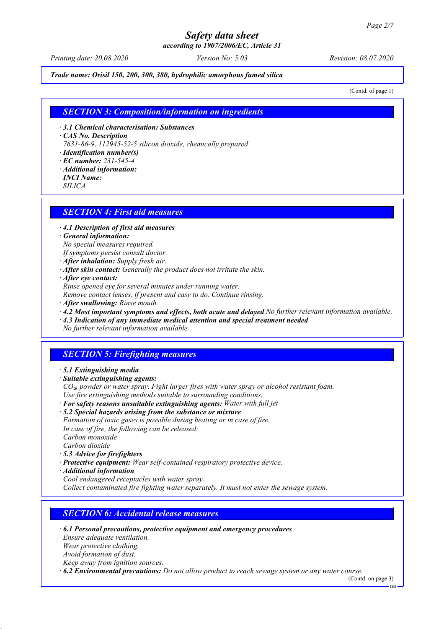*according to 1907/2006/EC, Article 31*

*Printing date: 20.08.2020 Version No: 5.03 Revision: 08.07.2020*

*Trade name: Orisil 150, 200, 300, 380, hydrophilic amorphous fumed silica*

(Contd. of page 1)

#### *SECTION 3: Composition/information on ingredients*

*· 3.1 Chemical characterisation: Substances*

*· CAS No. Description*

*7631-86-9, 112945-52-5 silicon dioxide, chemically prepared*

*· Identification number(s)*

- *· EC number: 231-545-4*
- *· Additional information:*
- *INCI Name:*

*SILICA*

#### *SECTION 4: First aid measures*

*· 4.1 Description of first aid measures*

*· General information:*

*No special measures required.*

- *If symptoms persist consult doctor.*
- *· After inhalation: Supply fresh air.*
- *· After skin contact: Generally the product does not irritate the skin.*
- *· After eye contact:*

*Rinse opened eye for several minutes under running water.*

*Remove contact lenses, if present and easy to do. Continue rinsing.*

- *· After swallowing: Rinse mouth.*
- *· 4.2 Most important symptoms and effects, both acute and delayed No further relevant information available.*
- *· 4.3 Indication of any immediate medical attention and special treatment needed*

*No further relevant information available.*

## *SECTION 5: Firefighting measures*

- *· 5.1 Extinguishing media*
- *· Suitable extinguishing agents:*

*CO*₂*, powder or water spray. Fight larger fires with water spray or alcohol resistant foam. Use fire extinguishing methods suitable to surrounding conditions.*

*· For safety reasons unsuitable extinguishing agents: Water with full jet*

*· 5.2 Special hazards arising from the substance or mixture*

*Formation of toxic gases is possible during heating or in case of fire. In case of fire, the following can be released:*

*Carbon monoxide*

*Carbon dioxide*

- *· 5.3 Advice for firefighters*
- *· Protective equipment: Wear self-contained respiratory protective device.*
- *· Additional information*

*Cool endangered receptacles with water spray.*

*Collect contaminated fire fighting water separately. It must not enter the sewage system.*

## *SECTION 6: Accidental release measures*

- *· 6.1 Personal precautions, protective equipment and emergency procedures Ensure adequate ventilation. Wear protective clothing. Avoid formation of dust. Keep away from ignition sources.*
- *· 6.2 Environmental precautions: Do not allow product to reach sewage system or any water course.*

(Contd. on page 3) GB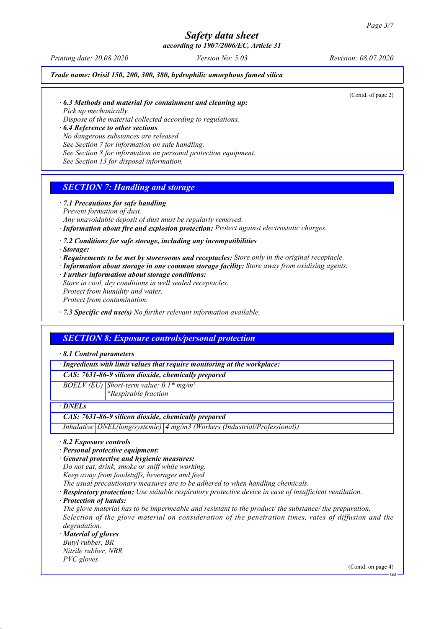*according to 1907/2006/EC, Article 31*

*Printing date: 20.08.2020 Version No: 5.03 Revision: 08.07.2020*

*Trade name: Orisil 150, 200, 300, 380, hydrophilic amorphous fumed silica*

(Contd. of page 2)

*· 6.3 Methods and material for containment and cleaning up: Pick up mechanically.*

*Dispose of the material collected according to regulations.*

*· 6.4 Reference to other sections*

*No dangerous substances are released.*

*See Section 7 for information on safe handling.*

*See Section 8 for information on personal protection equipment.*

*See Section 13 for disposal information.*

## *SECTION 7: Handling and storage*

*· 7.1 Precautions for safe handling Prevent formation of dust.*

*Any unavoidable deposit of dust must be regularly removed.*

*· Information about fire and explosion protection: Protect against electrostatic charges.*

*· 7.2 Conditions for safe storage, including any incompatibilities*

*· Storage:*

- *· Requirements to be met by storerooms and receptacles: Store only in the original receptacle.*
- *· Information about storage in one common storage facility: Store away from oxidising agents.*
- *· Further information about storage conditions: Store in cool, dry conditions in well sealed receptacles. Protect from humidity and water.*

*Protect from contamination.*

*· 7.3 Specific end use(s) No further relevant information available.*

## *SECTION 8: Exposure controls/personal protection*

*· 8.1 Control parameters*

*· Ingredients with limit values that require monitoring at the workplace:*

*CAS: 7631-86-9 silicon dioxide, chemically prepared*

*BOELV (EU) Short-term value: 0.1\* mg/m³*

*\*Respirable fraction*

*· DNELs*

#### *CAS: 7631-86-9 silicon dioxide, chemically prepared*

*Inhalative DNEL(long/systemic) 4 mg/m3 (Workers (Industrial/Professional))*

*· 8.2 Exposure controls*

*· Personal protective equipment:*

*· General protective and hygienic measures:*

*Do not eat, drink, smoke or sniff while working.*

*Keep away from foodstuffs, beverages and feed.*

*The usual precautionary measures are to be adhered to when handling chemicals.*

*· Respiratory protection: Use suitable respiratory protective device in case of insufficient ventilation.*

*· Protection of hands:*

*The glove material has to be impermeable and resistant to the product/ the substance/ the preparation. Selection of the glove material on consideration of the penetration times, rates of diffusion and the degradation.*

*· Material of gloves*

*Butyl rubber, BR Nitrile rubber, NBR PVC gloves*

(Contd. on page 4)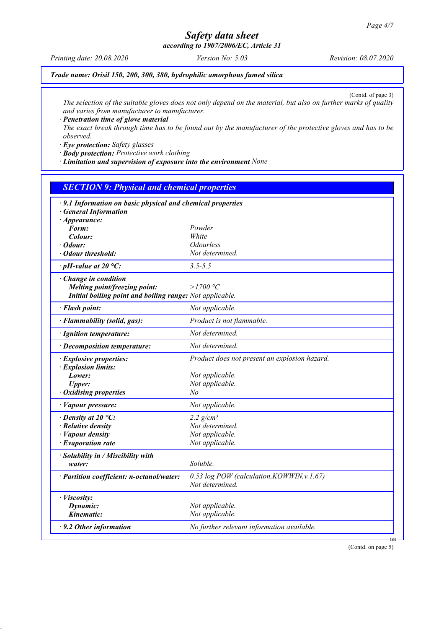*according to 1907/2006/EC, Article 31*

*Printing date: 20.08.2020 Version No: 5.03 Revision: 08.07.2020*

*Trade name: Orisil 150, 200, 300, 380, hydrophilic amorphous fumed silica*

(Contd. of page 3)

*The selection of the suitable gloves does not only depend on the material, but also on further marks of quality and varies from manufacturer to manufacturer.*

*· Penetration time of glove material*

*The exact break through time has to be found out by the manufacturer of the protective gloves and has to be observed.*

*· Eye protection: Safety glasses*

*· Body protection: Protective work clothing*

*· Limitation and supervision of exposure into the environment None*

## *SECTION 9: Physical and chemical properties*

| · 9.1 Information on basic physical and chemical properties<br><b>General Information</b> |                                                               |  |  |
|-------------------------------------------------------------------------------------------|---------------------------------------------------------------|--|--|
| $\cdot$ Appearance:<br>Form:                                                              | Powder                                                        |  |  |
| Colour:                                                                                   | <b>White</b>                                                  |  |  |
| $\cdot$ Odour:                                                                            | <b>Odourless</b>                                              |  |  |
| · Odour threshold:                                                                        | Not determined.                                               |  |  |
|                                                                                           |                                                               |  |  |
| $\cdot$ pH-value at 20 °C:                                                                | $3.5 - 5.5$                                                   |  |  |
| · Change in condition<br>Melting point/freezing point:                                    | $>$ 1700 °C                                                   |  |  |
| Initial boiling point and boiling range: Not applicable.                                  |                                                               |  |  |
|                                                                                           |                                                               |  |  |
| · Flash point:                                                                            | Not applicable.                                               |  |  |
| · Flammability (solid, gas):                                                              | Product is not flammable.                                     |  |  |
| · Ignition temperature:                                                                   | Not determined.                                               |  |  |
| · Decomposition temperature:                                                              | Not determined.                                               |  |  |
| · Explosive properties:<br>· Explosion limits:                                            | Product does not present an explosion hazard.                 |  |  |
| Lower:                                                                                    | Not applicable.                                               |  |  |
| <b>Upper:</b>                                                                             | Not applicable.                                               |  |  |
| · Oxidising properties                                                                    | No                                                            |  |  |
| · Vapour pressure:                                                                        | Not applicable.                                               |  |  |
| $\cdot$ Density at 20 °C:                                                                 | 2.2 $g/cm^3$                                                  |  |  |
| $\cdot$ Relative density                                                                  | Not determined.                                               |  |  |
| $\cdot$ <i>Vapour density</i>                                                             | Not applicable.                                               |  |  |
| $\cdot$ Evaporation rate                                                                  | Not applicable.                                               |  |  |
| · Solubility in / Miscibility with                                                        |                                                               |  |  |
| water:                                                                                    | Soluble.                                                      |  |  |
| · Partition coefficient: n-octanol/water:                                                 | 0.53 log POW (calculation, KOWWIN, v.1.67)<br>Not determined. |  |  |
| · Viscosity:                                                                              |                                                               |  |  |
| Dynamic:                                                                                  | Not applicable.                                               |  |  |
| Kinematic:                                                                                | Not applicable.                                               |  |  |
| $\cdot$ 9.2 Other information                                                             | No further relevant information available.                    |  |  |

(Contd. on page 5)

GB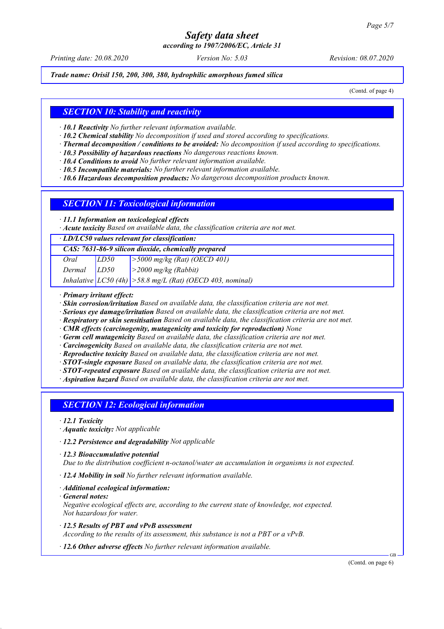*according to 1907/2006/EC, Article 31*

*Printing date: 20.08.2020 Version No: 5.03 Revision: 08.07.2020*

*Trade name: Orisil 150, 200, 300, 380, hydrophilic amorphous fumed silica*

(Contd. of page 4)

#### *SECTION 10: Stability and reactivity*

*· 10.1 Reactivity No further relevant information available.*

- *· 10.2 Chemical stability No decomposition if used and stored according to specifications.*
- *· Thermal decomposition / conditions to be avoided: No decomposition if used according to specifications.*
- *· 10.3 Possibility of hazardous reactions No dangerous reactions known.*
- *· 10.4 Conditions to avoid No further relevant information available.*
- *· 10.5 Incompatible materials: No further relevant information available.*
- *· 10.6 Hazardous decomposition products: No dangerous decomposition products known.*

#### *SECTION 11: Toxicological information*

*· 11.1 Information on toxicological effects*

*· Acute toxicity Based on available data, the classification criteria are not met.*

*· LD/LC50 values relevant for classification:*

### *CAS: 7631-86-9 silicon dioxide, chemically prepared Oral LD50 >5000 mg/kg (Rat) (OECD 401)*

| LD50 | $\vert$ >2000 mg/kg (Rabbit) |
|------|------------------------------|
|------|------------------------------|

*Inhalative LC50 (4h) >58.8 mg/L (Rat) (OECD 403, nominal)*

*· Primary irritant effect:*

Dermal

- *· Skin corrosion/irritation Based on available data, the classification criteria are not met.*
- *· Serious eye damage/irritation Based on available data, the classification criteria are not met.*
- *· Respiratory or skin sensitisation Based on available data, the classification criteria are not met.*

*· CMR effects (carcinogenity, mutagenicity and toxicity for reproduction) None*

- *· Germ cell mutagenicity Based on available data, the classification criteria are not met.*
- *· Carcinogenicity Based on available data, the classification criteria are not met.*

*· Reproductive toxicity Based on available data, the classification criteria are not met.*

- *· STOT-single exposure Based on available data, the classification criteria are not met.*
- *· STOT-repeated exposure Based on available data, the classification criteria are not met.*

*· Aspiration hazard Based on available data, the classification criteria are not met.*

## *SECTION 12: Ecological information*

- *· 12.1 Toxicity*
- *· Aquatic toxicity: Not applicable*

*· 12.2 Persistence and degradability Not applicable*

*· 12.3 Bioaccumulative potential*

*Due to the distribution coefficient n-octanol/water an accumulation in organisms is not expected.*

- *· 12.4 Mobility in soil No further relevant information available.*
- *· Additional ecological information:*
- *· General notes:*

*Negative ecological effects are, according to the current state of knowledge, not expected. Not hazardous for water.*

- *· 12.5 Results of PBT and vPvB assessment According to the results of its assessment, this substance is not a PBT or a vPvB.*
- *· 12.6 Other adverse effects No further relevant information available.*

(Contd. on page 6)

GB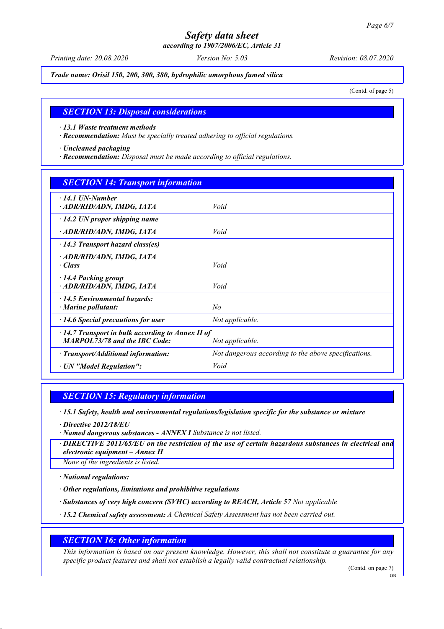*according to 1907/2006/EC, Article 31*

*Printing date: 20.08.2020 Version No: 5.03 Revision: 08.07.2020*

*Trade name: Orisil 150, 200, 300, 380, hydrophilic amorphous fumed silica*

(Contd. of page 5)

#### *SECTION 13: Disposal considerations*

*· 13.1 Waste treatment methods*

*· Recommendation: Must be specially treated adhering to official regulations.*

*· Uncleaned packaging*

*· Recommendation: Disposal must be made according to official regulations.*

| <b>SECTION 14: Transport information</b>                                                                           |                                                      |  |
|--------------------------------------------------------------------------------------------------------------------|------------------------------------------------------|--|
| $\cdot$ 14.1 UN-Number<br>· ADR/RID/ADN, IMDG, IATA                                                                | Void                                                 |  |
| $\cdot$ 14.2 UN proper shipping name                                                                               |                                                      |  |
| · ADR/RID/ADN, IMDG, IATA                                                                                          | Void                                                 |  |
| $\cdot$ 14.3 Transport hazard class(es)                                                                            |                                                      |  |
| · ADR/RID/ADN, IMDG, IATA<br>$\cdot$ Class                                                                         | Void                                                 |  |
| 14.4 Packing group<br>· ADR/RID/ADN, IMDG, IATA                                                                    | Void                                                 |  |
| 14.5 Environmental hazards:<br>$\cdot$ Marine pollutant:                                                           | No                                                   |  |
| $\cdot$ 14.6 Special precautions for user                                                                          | Not applicable.                                      |  |
| $\cdot$ 14.7 Transport in bulk according to Annex II of<br><b>MARPOL73/78 and the IBC Code:</b><br>Not applicable. |                                                      |  |
| $\cdot$ Transport/Additional information:                                                                          | Not dangerous according to the above specifications. |  |
| · UN "Model Regulation":                                                                                           | Void                                                 |  |

#### *SECTION 15: Regulatory information*

*· 15.1 Safety, health and environmental regulations/legislation specific for the substance or mixture*

*· Directive 2012/18/EU*

*· Named dangerous substances - ANNEX I Substance is not listed.*

*· DIRECTIVE 2011/65/EU on the restriction of the use of certain hazardous substances in electrical and electronic equipment – Annex II*

*None of the ingredients is listed.*

*· National regulations:*

*· Other regulations, limitations and prohibitive regulations*

*· Substances of very high concern (SVHC) according to REACH, Article 57 Not applicable*

*· 15.2 Chemical safety assessment: A Chemical Safety Assessment has not been carried out.*

#### *SECTION 16: Other information*

*This information is based on our present knowledge. However, this shall not constitute a guarantee for any specific product features and shall not establish a legally valid contractual relationship.*

(Contd. on page 7)

GB